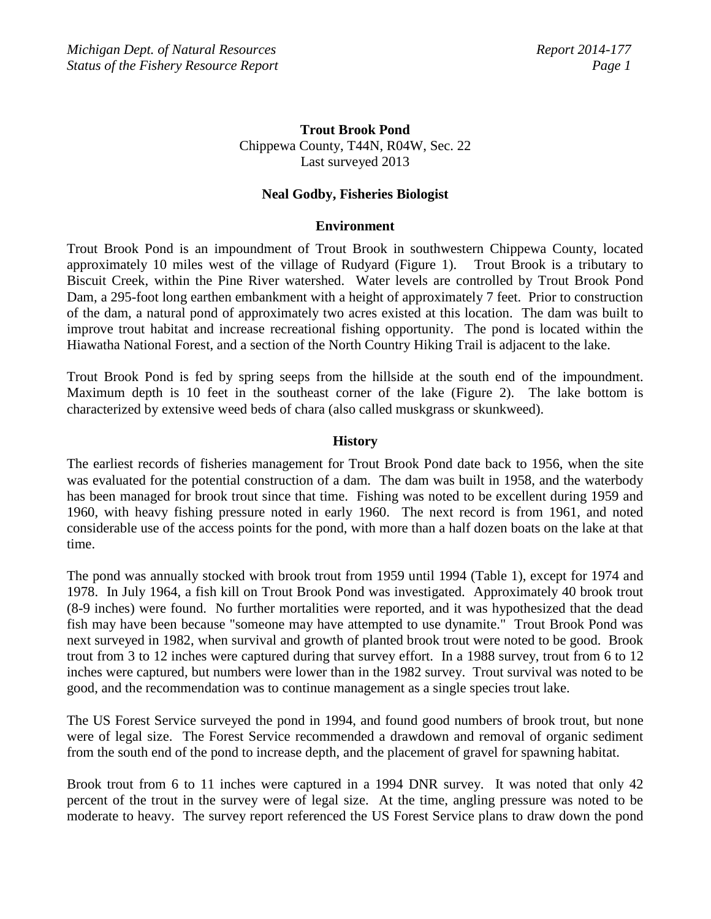## **Trout Brook Pond** Chippewa County, T44N, R04W, Sec. 22 Last surveyed 2013

## **Neal Godby, Fisheries Biologist**

#### **Environment**

Trout Brook Pond is an impoundment of Trout Brook in southwestern Chippewa County, located approximately 10 miles west of the village of Rudyard (Figure 1). Trout Brook is a tributary to Biscuit Creek, within the Pine River watershed. Water levels are controlled by Trout Brook Pond Dam, a 295-foot long earthen embankment with a height of approximately 7 feet. Prior to construction of the dam, a natural pond of approximately two acres existed at this location. The dam was built to improve trout habitat and increase recreational fishing opportunity. The pond is located within the Hiawatha National Forest, and a section of the North Country Hiking Trail is adjacent to the lake.

Trout Brook Pond is fed by spring seeps from the hillside at the south end of the impoundment. Maximum depth is 10 feet in the southeast corner of the lake (Figure 2). The lake bottom is characterized by extensive weed beds of chara (also called muskgrass or skunkweed).

#### **History**

The earliest records of fisheries management for Trout Brook Pond date back to 1956, when the site was evaluated for the potential construction of a dam. The dam was built in 1958, and the waterbody has been managed for brook trout since that time. Fishing was noted to be excellent during 1959 and 1960, with heavy fishing pressure noted in early 1960. The next record is from 1961, and noted considerable use of the access points for the pond, with more than a half dozen boats on the lake at that time.

The pond was annually stocked with brook trout from 1959 until 1994 (Table 1), except for 1974 and 1978. In July 1964, a fish kill on Trout Brook Pond was investigated. Approximately 40 brook trout (8-9 inches) were found. No further mortalities were reported, and it was hypothesized that the dead fish may have been because "someone may have attempted to use dynamite." Trout Brook Pond was next surveyed in 1982, when survival and growth of planted brook trout were noted to be good. Brook trout from 3 to 12 inches were captured during that survey effort. In a 1988 survey, trout from 6 to 12 inches were captured, but numbers were lower than in the 1982 survey. Trout survival was noted to be good, and the recommendation was to continue management as a single species trout lake.

The US Forest Service surveyed the pond in 1994, and found good numbers of brook trout, but none were of legal size. The Forest Service recommended a drawdown and removal of organic sediment from the south end of the pond to increase depth, and the placement of gravel for spawning habitat.

Brook trout from 6 to 11 inches were captured in a 1994 DNR survey. It was noted that only 42 percent of the trout in the survey were of legal size. At the time, angling pressure was noted to be moderate to heavy. The survey report referenced the US Forest Service plans to draw down the pond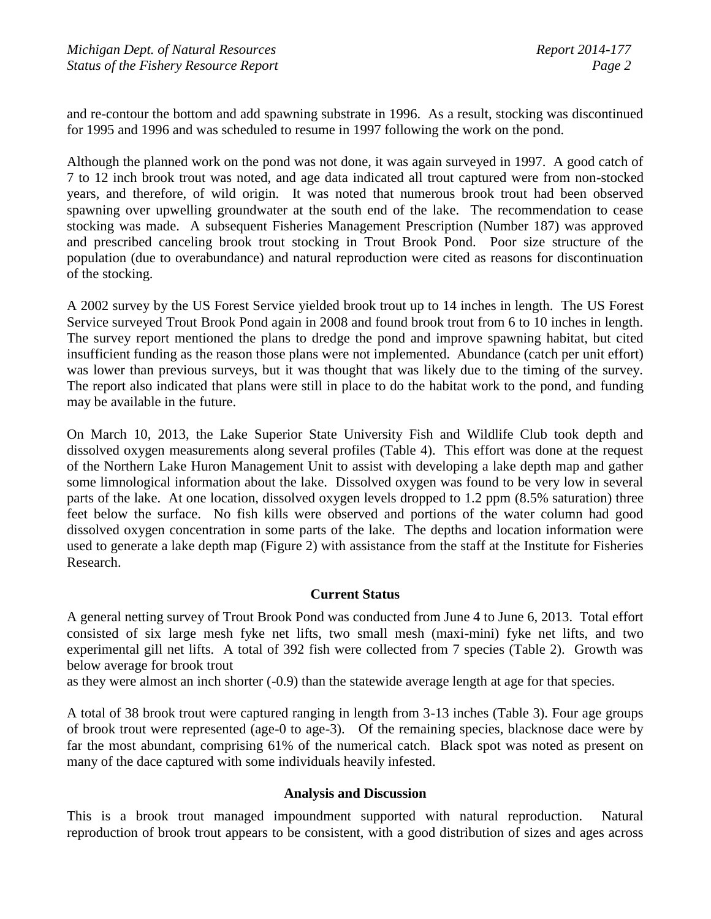and re-contour the bottom and add spawning substrate in 1996. As a result, stocking was discontinued for 1995 and 1996 and was scheduled to resume in 1997 following the work on the pond.

Although the planned work on the pond was not done, it was again surveyed in 1997. A good catch of 7 to 12 inch brook trout was noted, and age data indicated all trout captured were from non-stocked years, and therefore, of wild origin. It was noted that numerous brook trout had been observed spawning over upwelling groundwater at the south end of the lake. The recommendation to cease stocking was made. A subsequent Fisheries Management Prescription (Number 187) was approved and prescribed canceling brook trout stocking in Trout Brook Pond. Poor size structure of the population (due to overabundance) and natural reproduction were cited as reasons for discontinuation of the stocking.

A 2002 survey by the US Forest Service yielded brook trout up to 14 inches in length. The US Forest Service surveyed Trout Brook Pond again in 2008 and found brook trout from 6 to 10 inches in length. The survey report mentioned the plans to dredge the pond and improve spawning habitat, but cited insufficient funding as the reason those plans were not implemented. Abundance (catch per unit effort) was lower than previous surveys, but it was thought that was likely due to the timing of the survey. The report also indicated that plans were still in place to do the habitat work to the pond, and funding may be available in the future.

On March 10, 2013, the Lake Superior State University Fish and Wildlife Club took depth and dissolved oxygen measurements along several profiles (Table 4). This effort was done at the request of the Northern Lake Huron Management Unit to assist with developing a lake depth map and gather some limnological information about the lake. Dissolved oxygen was found to be very low in several parts of the lake. At one location, dissolved oxygen levels dropped to 1.2 ppm (8.5% saturation) three feet below the surface. No fish kills were observed and portions of the water column had good dissolved oxygen concentration in some parts of the lake. The depths and location information were used to generate a lake depth map (Figure 2) with assistance from the staff at the Institute for Fisheries Research.

# **Current Status**

A general netting survey of Trout Brook Pond was conducted from June 4 to June 6, 2013. Total effort consisted of six large mesh fyke net lifts, two small mesh (maxi-mini) fyke net lifts, and two experimental gill net lifts. A total of 392 fish were collected from 7 species (Table 2). Growth was below average for brook trout

as they were almost an inch shorter (-0.9) than the statewide average length at age for that species.

A total of 38 brook trout were captured ranging in length from 3-13 inches (Table 3). Four age groups of brook trout were represented (age-0 to age-3). Of the remaining species, blacknose dace were by far the most abundant, comprising 61% of the numerical catch. Black spot was noted as present on many of the dace captured with some individuals heavily infested.

### **Analysis and Discussion**

This is a brook trout managed impoundment supported with natural reproduction. Natural reproduction of brook trout appears to be consistent, with a good distribution of sizes and ages across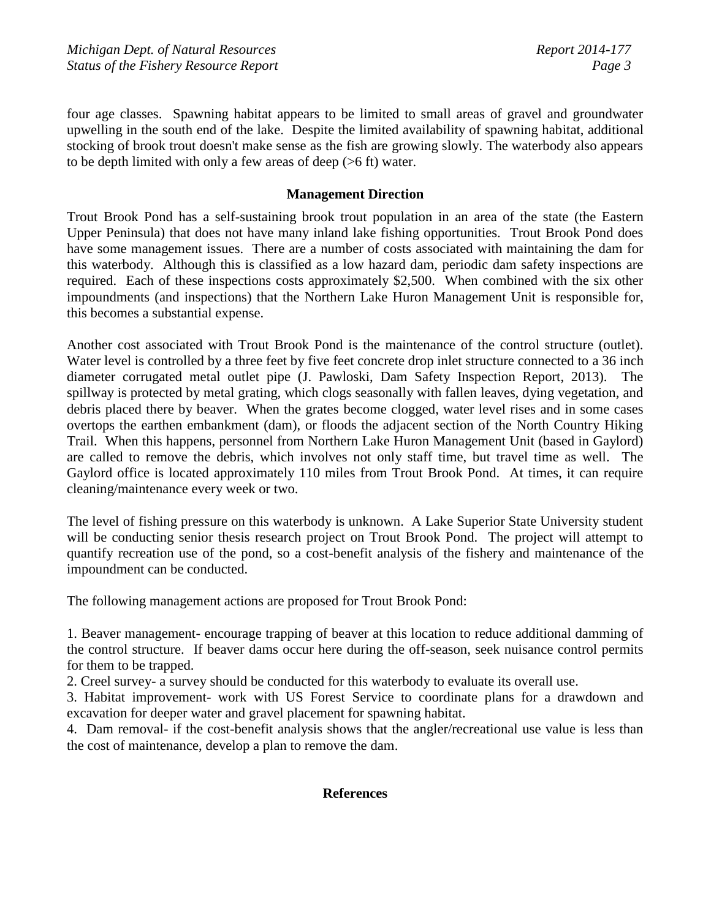four age classes. Spawning habitat appears to be limited to small areas of gravel and groundwater upwelling in the south end of the lake. Despite the limited availability of spawning habitat, additional stocking of brook trout doesn't make sense as the fish are growing slowly. The waterbody also appears to be depth limited with only a few areas of deep (>6 ft) water.

## **Management Direction**

Trout Brook Pond has a self-sustaining brook trout population in an area of the state (the Eastern Upper Peninsula) that does not have many inland lake fishing opportunities. Trout Brook Pond does have some management issues. There are a number of costs associated with maintaining the dam for this waterbody. Although this is classified as a low hazard dam, periodic dam safety inspections are required. Each of these inspections costs approximately \$2,500. When combined with the six other impoundments (and inspections) that the Northern Lake Huron Management Unit is responsible for, this becomes a substantial expense.

Another cost associated with Trout Brook Pond is the maintenance of the control structure (outlet). Water level is controlled by a three feet by five feet concrete drop inlet structure connected to a 36 inch diameter corrugated metal outlet pipe (J. Pawloski, Dam Safety Inspection Report, 2013). The spillway is protected by metal grating, which clogs seasonally with fallen leaves, dying vegetation, and debris placed there by beaver. When the grates become clogged, water level rises and in some cases overtops the earthen embankment (dam), or floods the adjacent section of the North Country Hiking Trail. When this happens, personnel from Northern Lake Huron Management Unit (based in Gaylord) are called to remove the debris, which involves not only staff time, but travel time as well. The Gaylord office is located approximately 110 miles from Trout Brook Pond. At times, it can require cleaning/maintenance every week or two.

The level of fishing pressure on this waterbody is unknown. A Lake Superior State University student will be conducting senior thesis research project on Trout Brook Pond. The project will attempt to quantify recreation use of the pond, so a cost-benefit analysis of the fishery and maintenance of the impoundment can be conducted.

The following management actions are proposed for Trout Brook Pond:

1. Beaver management- encourage trapping of beaver at this location to reduce additional damming of the control structure. If beaver dams occur here during the off-season, seek nuisance control permits for them to be trapped.

2. Creel survey- a survey should be conducted for this waterbody to evaluate its overall use.

3. Habitat improvement- work with US Forest Service to coordinate plans for a drawdown and excavation for deeper water and gravel placement for spawning habitat.

4. Dam removal- if the cost-benefit analysis shows that the angler/recreational use value is less than the cost of maintenance, develop a plan to remove the dam.

# **References**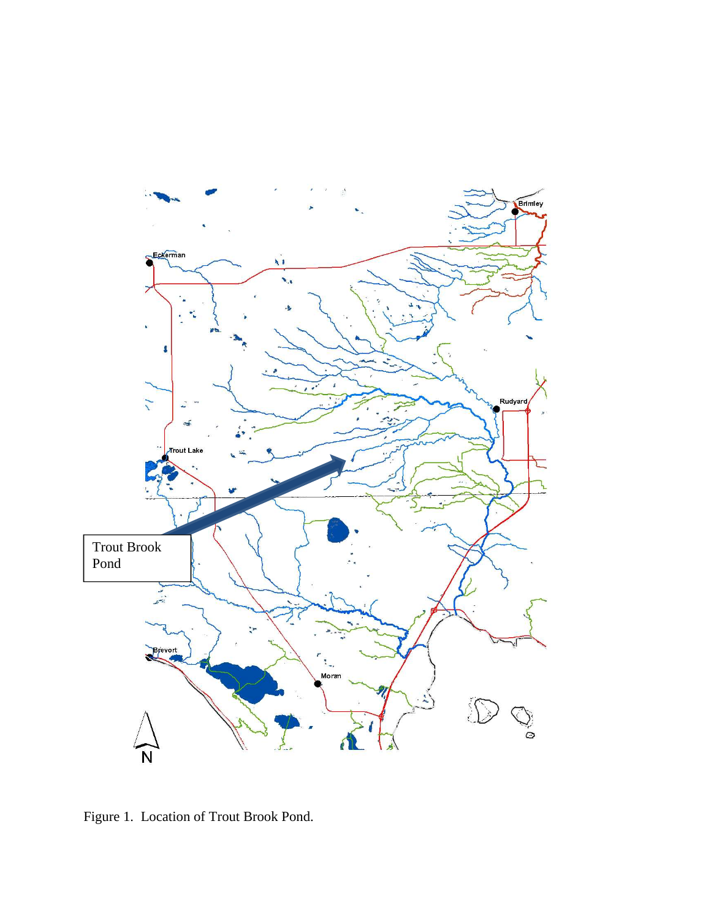

Figure 1. Location of Trout Brook Pond.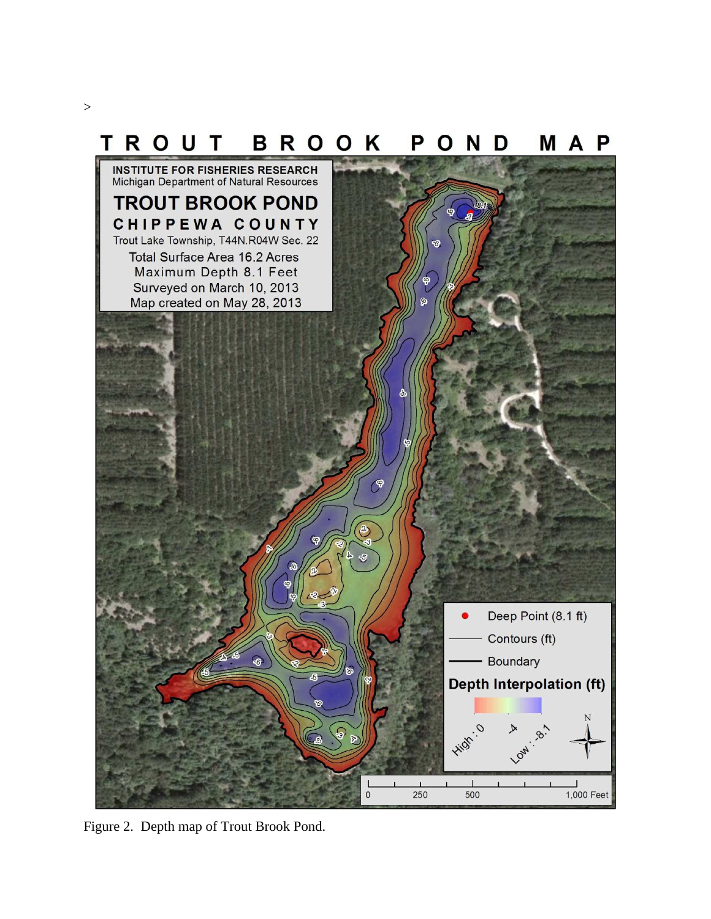

Figure 2. Depth map of Trout Brook Pond.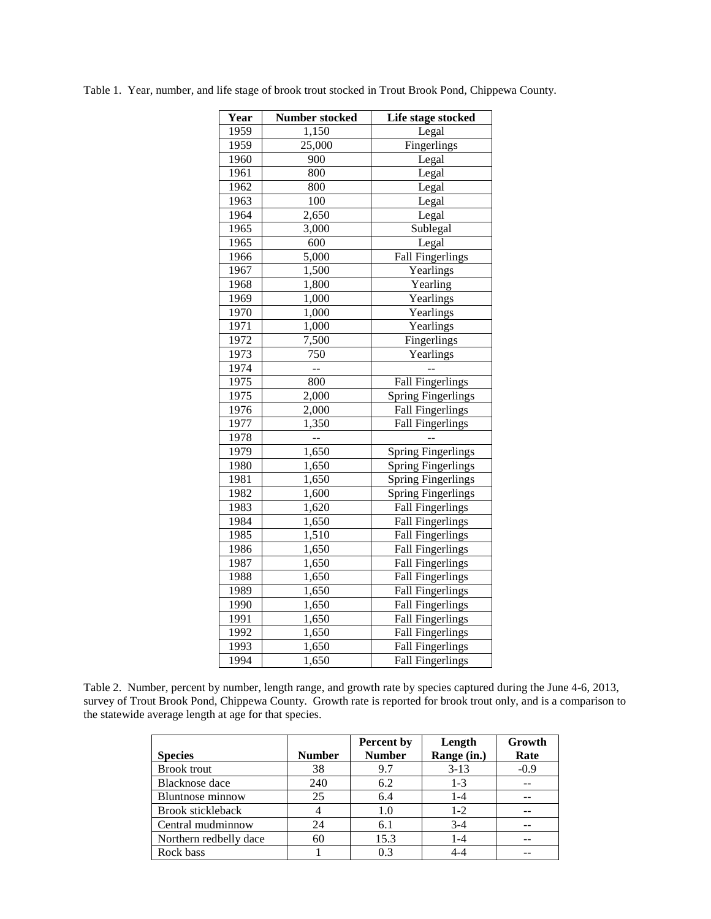| Year | <b>Number stocked</b> | Life stage stocked        |  |
|------|-----------------------|---------------------------|--|
| 1959 | 1,150                 | Legal                     |  |
| 1959 | 25,000                | Fingerlings               |  |
| 1960 | 900                   | Legal                     |  |
| 1961 | 800                   | Legal                     |  |
| 1962 | 800                   | Legal                     |  |
| 1963 | 100                   | Legal                     |  |
| 1964 | 2,650                 | Legal                     |  |
| 1965 | 3,000                 | Sublegal                  |  |
| 1965 | 600                   | Legal                     |  |
| 1966 | 5,000                 | <b>Fall Fingerlings</b>   |  |
| 1967 | 1,500                 | Yearlings                 |  |
| 1968 | 1,800                 | Yearling                  |  |
| 1969 | 1,000                 | Yearlings                 |  |
| 1970 | 1,000                 | Yearlings                 |  |
| 1971 | 1,000                 | Yearlings                 |  |
| 1972 | 7,500                 | Fingerlings               |  |
| 1973 | 750                   | Yearlings                 |  |
| 1974 | $-$                   |                           |  |
| 1975 | 800                   | <b>Fall Fingerlings</b>   |  |
| 1975 | 2,000                 | <b>Spring Fingerlings</b> |  |
| 1976 | 2,000                 | <b>Fall Fingerlings</b>   |  |
| 1977 | 1,350                 | <b>Fall Fingerlings</b>   |  |
| 1978 | --                    |                           |  |
| 1979 | 1,650                 | <b>Spring Fingerlings</b> |  |
| 1980 | 1,650                 | <b>Spring Fingerlings</b> |  |
| 1981 | 1,650                 | <b>Spring Fingerlings</b> |  |
| 1982 | 1,600                 | <b>Spring Fingerlings</b> |  |
| 1983 | 1,620                 | <b>Fall Fingerlings</b>   |  |
| 1984 | 1,650                 | <b>Fall Fingerlings</b>   |  |
| 1985 | $\frac{1}{1,510}$     | Fall Fingerlings          |  |
| 1986 | 1,650                 | <b>Fall Fingerlings</b>   |  |
| 1987 | 1,650                 | Fall Fingerlings          |  |
| 1988 | 1,650                 | <b>Fall Fingerlings</b>   |  |
| 1989 | 1,650                 | <b>Fall Fingerlings</b>   |  |
| 1990 | 1,650                 | <b>Fall Fingerlings</b>   |  |
| 1991 | 1,650                 | <b>Fall Fingerlings</b>   |  |
| 1992 | 1,650                 | Fall Fingerlings          |  |
| 1993 | 1,650                 | <b>Fall Fingerlings</b>   |  |
| 1994 | 1,650                 | <b>Fall Fingerlings</b>   |  |

Table 1. Year, number, and life stage of brook trout stocked in Trout Brook Pond, Chippewa County.

Table 2. Number, percent by number, length range, and growth rate by species captured during the June 4-6, 2013, survey of Trout Brook Pond, Chippewa County. Growth rate is reported for brook trout only, and is a comparison to the statewide average length at age for that species.

|                          |               | <b>Percent by</b> | Length      | Growth |
|--------------------------|---------------|-------------------|-------------|--------|
| <b>Species</b>           | <b>Number</b> | <b>Number</b>     | Range (in.) | Rate   |
| <b>Brook</b> trout       | 38            | 9.7               | $3-13$      | $-0.9$ |
| <b>Blacknose</b> dace    | 240           | 6.2               | $1 - 3$     |        |
| <b>Bluntnose</b> minnow  | 25            | 6.4               | $1 - 4$     |        |
| <b>Brook stickleback</b> | 4             | 1.0               | $1 - 2$     |        |
| Central mudminnow        | 24            | 6.1               | $3-4$       |        |
| Northern redbelly dace   | 60            | 15.3              | $1 - 4$     |        |
| Rock bass                |               | 0.3               | 4-4         |        |